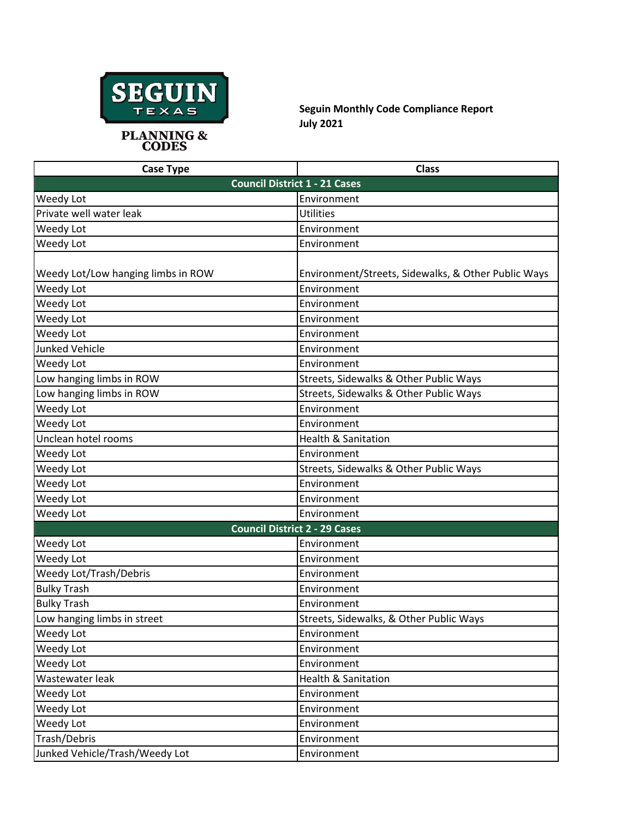

**Seguin Monthly Code Compliance Report July 2021**

| <b>Case Type</b>                   | <b>Class</b>                                        |
|------------------------------------|-----------------------------------------------------|
|                                    | <b>Council District 1 - 21 Cases</b>                |
| Weedy Lot                          | Environment                                         |
| Private well water leak            | <b>Utilities</b>                                    |
| Weedy Lot                          | Environment                                         |
| Weedy Lot                          | Environment                                         |
| Weedy Lot/Low hanging limbs in ROW | Environment/Streets, Sidewalks, & Other Public Ways |
| Weedy Lot                          | Environment                                         |
| Weedy Lot                          | Environment                                         |
| Weedy Lot                          | Environment                                         |
| Weedy Lot                          | Environment                                         |
| <b>Junked Vehicle</b>              | Environment                                         |
| Weedy Lot                          | Environment                                         |
| Low hanging limbs in ROW           | Streets, Sidewalks & Other Public Ways              |
| Low hanging limbs in ROW           | Streets, Sidewalks & Other Public Ways              |
| Weedy Lot                          | Environment                                         |
| Weedy Lot                          | Environment                                         |
| Unclean hotel rooms                | <b>Health &amp; Sanitation</b>                      |
| Weedy Lot                          | Environment                                         |
| Weedy Lot                          | Streets, Sidewalks & Other Public Ways              |
| Weedy Lot                          | Environment                                         |
| Weedy Lot                          | Environment                                         |
| Weedy Lot                          | Environment                                         |
|                                    | <b>Council District 2 - 29 Cases</b>                |
| Weedy Lot                          | Environment                                         |
| Weedy Lot                          | Environment                                         |
| Weedy Lot/Trash/Debris             | Environment                                         |
| <b>Bulky Trash</b>                 | Environment                                         |
| <b>Bulky Trash</b>                 | Environment                                         |
| Low hanging limbs in street        | Streets, Sidewalks, & Other Public Ways             |
| Weedy Lot                          | Environment                                         |
| Weedy Lot                          | Environment                                         |
| Weedy Lot                          | Environment                                         |
| Wastewater leak                    | <b>Health &amp; Sanitation</b>                      |
| Weedy Lot                          | Environment                                         |
| Weedy Lot                          | Environment                                         |
| Weedy Lot                          | Environment                                         |
| Trash/Debris                       | Environment                                         |
| Junked Vehicle/Trash/Weedy Lot     | Environment                                         |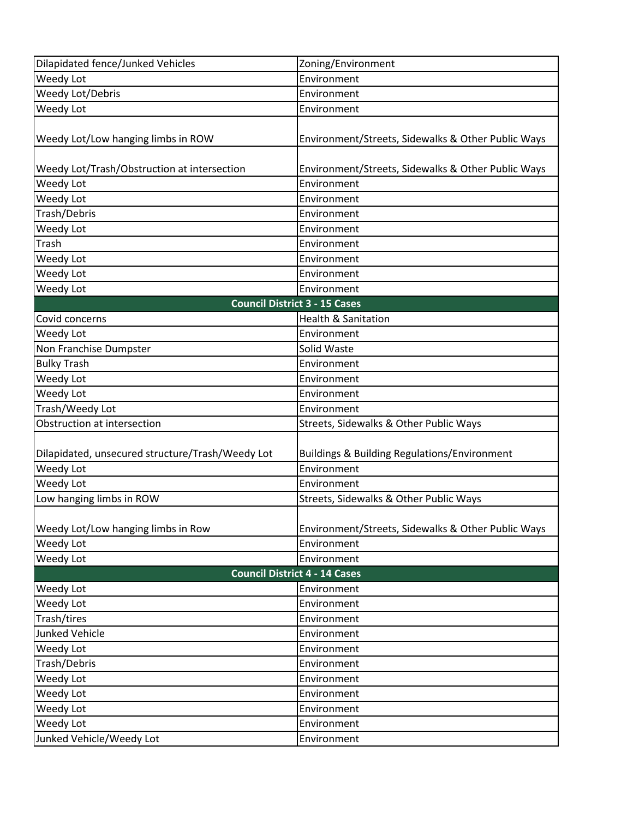| Dilapidated fence/Junked Vehicles                | Zoning/Environment                                 |
|--------------------------------------------------|----------------------------------------------------|
| Weedy Lot                                        | Environment                                        |
| Weedy Lot/Debris                                 | Environment                                        |
| Weedy Lot                                        | Environment                                        |
| Weedy Lot/Low hanging limbs in ROW               | Environment/Streets, Sidewalks & Other Public Ways |
| Weedy Lot/Trash/Obstruction at intersection      | Environment/Streets, Sidewalks & Other Public Ways |
| Weedy Lot                                        | Environment                                        |
| Weedy Lot                                        | Environment                                        |
| Trash/Debris                                     | Environment                                        |
| Weedy Lot                                        | Environment                                        |
| Trash                                            | Environment                                        |
| Weedy Lot                                        | Environment                                        |
| Weedy Lot                                        | Environment                                        |
| Weedy Lot                                        | Environment                                        |
|                                                  | <b>Council District 3 - 15 Cases</b>               |
| Covid concerns                                   | <b>Health &amp; Sanitation</b>                     |
| Weedy Lot                                        | Environment                                        |
| Non Franchise Dumpster                           | Solid Waste                                        |
| <b>Bulky Trash</b>                               | Environment                                        |
| Weedy Lot                                        | Environment                                        |
| Weedy Lot                                        | Environment                                        |
| Trash/Weedy Lot                                  | Environment                                        |
| Obstruction at intersection                      | Streets, Sidewalks & Other Public Ways             |
| Dilapidated, unsecured structure/Trash/Weedy Lot | Buildings & Building Regulations/Environment       |
| Weedy Lot                                        | Environment                                        |
| Weedy Lot                                        | Environment                                        |
| Low hanging limbs in ROW                         | Streets, Sidewalks & Other Public Ways             |
|                                                  |                                                    |
| Weedy Lot/Low hanging limbs in Row               | Environment/Streets, Sidewalks & Other Public Ways |
| Weedy Lot                                        | Environment                                        |
| Weedy Lot                                        | Environment                                        |
|                                                  | <b>Council District 4 - 14 Cases</b>               |
| Weedy Lot                                        | Environment                                        |
| Weedy Lot                                        | Environment                                        |
| Trash/tires                                      | Environment                                        |
| Junked Vehicle                                   | Environment                                        |
| Weedy Lot                                        | Environment                                        |
| Trash/Debris                                     | Environment                                        |
| Weedy Lot                                        | Environment                                        |
| Weedy Lot                                        | Environment                                        |
| Weedy Lot                                        | Environment                                        |
|                                                  | Environment                                        |
| Weedy Lot                                        |                                                    |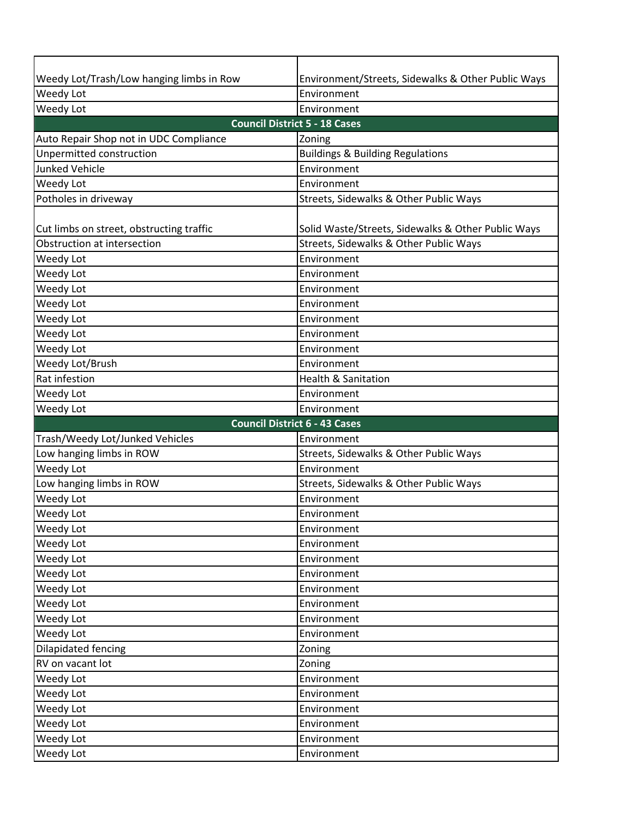| Weedy Lot/Trash/Low hanging limbs in Row | Environment/Streets, Sidewalks & Other Public Ways |  |
|------------------------------------------|----------------------------------------------------|--|
| Weedy Lot                                | Environment                                        |  |
| Weedy Lot                                | Environment                                        |  |
| <b>Council District 5 - 18 Cases</b>     |                                                    |  |
| Auto Repair Shop not in UDC Compliance   | Zoning                                             |  |
| Unpermitted construction                 | <b>Buildings &amp; Building Regulations</b>        |  |
| <b>Junked Vehicle</b>                    | Environment                                        |  |
| Weedy Lot                                | Environment                                        |  |
| Potholes in driveway                     | Streets, Sidewalks & Other Public Ways             |  |
|                                          |                                                    |  |
| Cut limbs on street, obstructing traffic | Solid Waste/Streets, Sidewalks & Other Public Ways |  |
| Obstruction at intersection              | Streets, Sidewalks & Other Public Ways             |  |
| Weedy Lot                                | Environment                                        |  |
| Weedy Lot                                | Environment                                        |  |
| Weedy Lot                                | Environment                                        |  |
| Weedy Lot                                | Environment                                        |  |
| Weedy Lot                                | Environment                                        |  |
| Weedy Lot                                | Environment                                        |  |
| Weedy Lot                                | Environment                                        |  |
| Weedy Lot/Brush                          | Environment                                        |  |
| Rat infestion                            | <b>Health &amp; Sanitation</b>                     |  |
| Weedy Lot                                | Environment                                        |  |
| Weedy Lot                                | Environment                                        |  |
| <b>Council District 6 - 43 Cases</b>     |                                                    |  |
|                                          |                                                    |  |
| Trash/Weedy Lot/Junked Vehicles          | Environment                                        |  |
| Low hanging limbs in ROW                 | Streets, Sidewalks & Other Public Ways             |  |
| Weedy Lot                                | Environment                                        |  |
| Low hanging limbs in ROW                 | Streets, Sidewalks & Other Public Ways             |  |
| Weedy Lot                                | Environment                                        |  |
| Weedy Lot                                | Environment                                        |  |
| Weedy Lot                                | Environment                                        |  |
| Weedy Lot                                | Environment                                        |  |
| Weedy Lot                                | Environment                                        |  |
| Weedy Lot                                | Environment                                        |  |
| Weedy Lot                                | Environment                                        |  |
| Weedy Lot                                | Environment                                        |  |
| Weedy Lot                                | Environment                                        |  |
| Weedy Lot                                | Environment                                        |  |
| Dilapidated fencing                      | Zoning                                             |  |
| RV on vacant lot                         | Zoning                                             |  |
| Weedy Lot                                | Environment                                        |  |
| Weedy Lot                                | Environment                                        |  |
| Weedy Lot                                | Environment                                        |  |
| Weedy Lot                                | Environment                                        |  |
| Weedy Lot<br>Weedy Lot                   | Environment<br>Environment                         |  |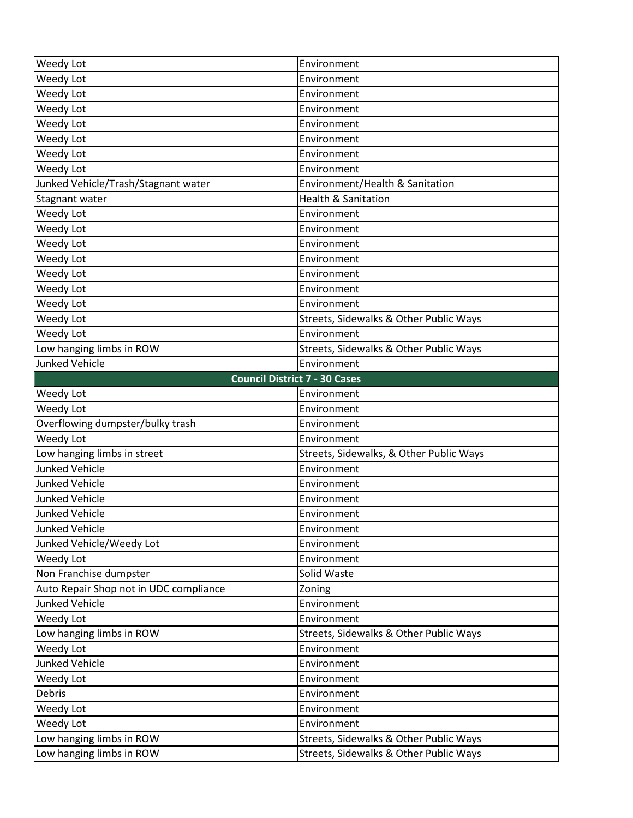| Weedy Lot                                            | Environment                                                                      |
|------------------------------------------------------|----------------------------------------------------------------------------------|
| Weedy Lot                                            | Environment                                                                      |
| Weedy Lot                                            | Environment                                                                      |
| Weedy Lot                                            | Environment                                                                      |
| Weedy Lot                                            | Environment                                                                      |
| Weedy Lot                                            | Environment                                                                      |
| Weedy Lot                                            | Environment                                                                      |
| Weedy Lot                                            | Environment                                                                      |
| Junked Vehicle/Trash/Stagnant water                  | Environment/Health & Sanitation                                                  |
| Stagnant water                                       | <b>Health &amp; Sanitation</b>                                                   |
| Weedy Lot                                            | Environment                                                                      |
| Weedy Lot                                            | Environment                                                                      |
| Weedy Lot                                            | Environment                                                                      |
| Weedy Lot                                            | Environment                                                                      |
| Weedy Lot                                            | Environment                                                                      |
| Weedy Lot                                            | Environment                                                                      |
| Weedy Lot                                            | Environment                                                                      |
| Weedy Lot                                            | Streets, Sidewalks & Other Public Ways                                           |
| Weedy Lot                                            | Environment                                                                      |
| Low hanging limbs in ROW                             | Streets, Sidewalks & Other Public Ways                                           |
| <b>Junked Vehicle</b>                                | Environment                                                                      |
|                                                      | <b>Council District 7 - 30 Cases</b>                                             |
| Weedy Lot                                            | Environment                                                                      |
| Weedy Lot                                            | Environment                                                                      |
| Overflowing dumpster/bulky trash                     | Environment                                                                      |
| Weedy Lot                                            | Environment                                                                      |
| Low hanging limbs in street                          | Streets, Sidewalks, & Other Public Ways                                          |
| <b>Junked Vehicle</b>                                | Environment                                                                      |
| <b>Junked Vehicle</b>                                | Environment                                                                      |
| <b>Junked Vehicle</b>                                | Environment                                                                      |
| <b>Junked Vehicle</b>                                | Environment                                                                      |
| <b>Junked Vehicle</b>                                | Environment                                                                      |
| Junked Vehicle/Weedy Lot                             | Environment                                                                      |
| Weedy Lot                                            | Environment                                                                      |
| Non Franchise dumpster                               | Solid Waste                                                                      |
| Auto Repair Shop not in UDC compliance               | Zoning                                                                           |
| Junked Vehicle                                       | Environment                                                                      |
| Weedy Lot                                            | Environment                                                                      |
| Low hanging limbs in ROW                             | Streets, Sidewalks & Other Public Ways                                           |
| Weedy Lot                                            | Environment                                                                      |
| <b>Junked Vehicle</b>                                | Environment                                                                      |
| Weedy Lot                                            | Environment                                                                      |
| Debris                                               | Environment                                                                      |
| Weedy Lot                                            | Environment                                                                      |
| Weedy Lot                                            |                                                                                  |
|                                                      | Environment                                                                      |
| Low hanging limbs in ROW<br>Low hanging limbs in ROW | Streets, Sidewalks & Other Public Ways<br>Streets, Sidewalks & Other Public Ways |